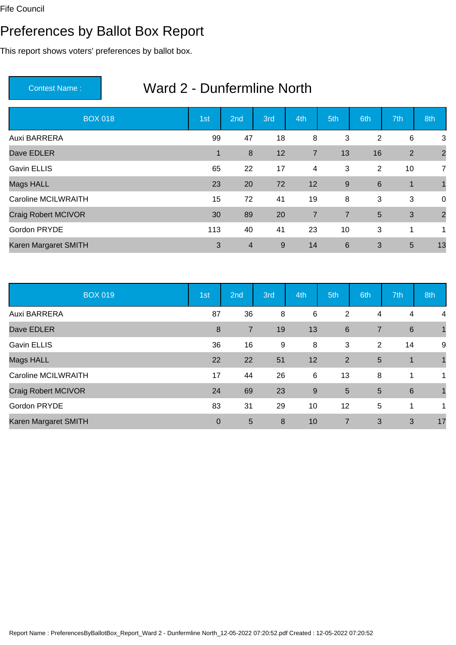#### Preferences by Ballot Box Report

This report shows voters' preferences by ballot box.

| <b>BOX 018</b>       | 1st | 2 <sub>nd</sub> | 3rd | 4th            | 5th            | 6th | 7th          | 8th            |
|----------------------|-----|-----------------|-----|----------------|----------------|-----|--------------|----------------|
| Auxi BARRERA         | 99  | 47              | 18  | 8              | 3              | 2   | 6            | 3              |
| Dave EDLER           | 1   | 8               | 12  | $\overline{7}$ | 13             | 16  | 2            | $\overline{2}$ |
| <b>Gavin ELLIS</b>   | 65  | 22              | 17  | 4              | 3              | 2   | 10           | $\overline{7}$ |
| Mags HALL            | 23  | 20              | 72  | 12             | 9              | 6   | $\mathbf{1}$ |                |
| Caroline MCILWRAITH  | 15  | 72              | 41  | 19             | 8              | 3   | 3            | $\overline{0}$ |
| Craig Robert MCIVOR  | 30  | 89              | 20  | $\overline{7}$ | $\overline{7}$ | 5   | 3            | $\overline{2}$ |
| Gordon PRYDE         | 113 | 40              | 41  | 23             | 10             | 3   | 1            | 1              |
| Karen Margaret SMITH | 3   | $\overline{4}$  | 9   | 14             | 6              | 3   | 5            | 13             |

| <b>BOX 019</b>             | 1st         | 2nd            | 3rd | 4th | 5th            | 6th            | 7th             | 8th          |
|----------------------------|-------------|----------------|-----|-----|----------------|----------------|-----------------|--------------|
| Auxi BARRERA               | 87          | 36             | 8   | 6   | 2              | 4              | 4               | 4            |
| Dave EDLER                 | 8           | $\overline{7}$ | 19  | 13  | 6              | $\overline{7}$ | 6               | $\mathbf{1}$ |
| <b>Gavin ELLIS</b>         | 36          | 16             | 9   | 8   | 3              | 2              | 14              | 9            |
| Mags HALL                  | 22          | 22             | 51  | 12  | 2              | 5              | $\mathbf 1$     |              |
| <b>Caroline MCILWRAITH</b> | 17          | 44             | 26  | 6   | 13             | 8              | 1               | 1            |
| <b>Craig Robert MCIVOR</b> | 24          | 69             | 23  | 9   | $5\phantom{1}$ | 5              | $6\phantom{1}6$ | $\mathbf 1$  |
| Gordon PRYDE               | 83          | 31             | 29  | 10  | 12             | 5              | 1               | 1            |
| Karen Margaret SMITH       | $\mathbf 0$ | 5              | 8   | 10  | $\overline{7}$ | 3              | 3               | 17           |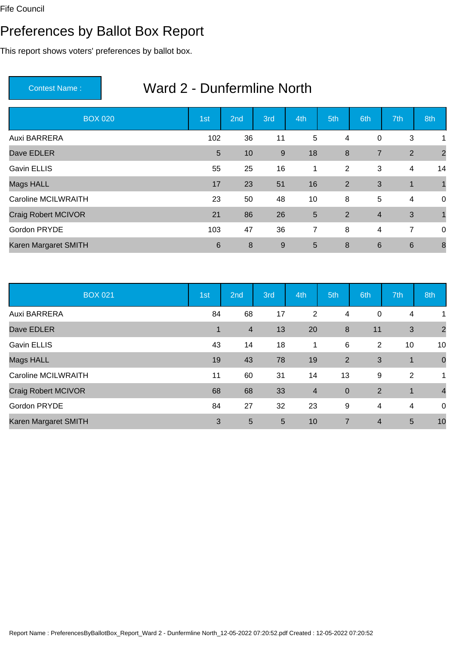# Preferences by Ballot Box Report

This report shows voters' preferences by ballot box.

| <b>BOX 020</b>             | 1st            | 2 <sub>nd</sub> | 3rd   | 4th | 5th | 6th             | 7th             | 8th            |
|----------------------------|----------------|-----------------|-------|-----|-----|-----------------|-----------------|----------------|
| Auxi BARRERA               | 102            | 36              | 11    | 5   | 4   | $\pmb{0}$       | 3               | 1              |
| Dave EDLER                 | $5\phantom{1}$ | 10              | $9\,$ | 18  | 8   | $\overline{7}$  | 2               | $\overline{2}$ |
| <b>Gavin ELLIS</b>         | 55             | 25              | 16    | 1   | 2   | 3               | 4               | 14             |
| Mags HALL                  | 17             | 23              | 51    | 16  | 2   | 3               | 1               |                |
| <b>Caroline MCILWRAITH</b> | 23             | 50              | 48    | 10  | 8   | 5               | 4               | $\mathbf 0$    |
| Craig Robert MCIVOR        | 21             | 86              | 26    | 5   | 2   | $\overline{4}$  | 3               |                |
| Gordon PRYDE               | 103            | 47              | 36    | 7   | 8   | 4               | $\overline{7}$  | $\mathbf 0$    |
| Karen Margaret SMITH       | 6              | 8               | 9     | 5   | 8   | $6\phantom{1}6$ | $6\phantom{1}6$ | 8              |

| <b>BOX 021</b>             | 1st          | 2nd            | 3rd | 4th                     | 5th              | 6th            | 7th         | 8th            |
|----------------------------|--------------|----------------|-----|-------------------------|------------------|----------------|-------------|----------------|
| Auxi BARRERA               | 84           | 68             | 17  | 2                       | 4                | 0              | 4           | 1              |
| Dave EDLER                 | $\mathbf{1}$ | $\overline{4}$ | 13  | 20                      | $\boldsymbol{8}$ | 11             | 3           | $\overline{2}$ |
| <b>Gavin ELLIS</b>         | 43           | 14             | 18  | 1                       | 6                | 2              | 10          | 10             |
| Mags HALL                  | 19           | 43             | 78  | 19                      | 2                | 3              | $\mathbf 1$ | $\overline{0}$ |
| <b>Caroline MCILWRAITH</b> | 11           | 60             | 31  | 14                      | 13               | 9              | 2           | 1              |
| Craig Robert MCIVOR        | 68           | 68             | 33  | $\overline{\mathbf{4}}$ | $\overline{0}$   | $\overline{2}$ | $\mathbf 1$ | $\overline{4}$ |
| Gordon PRYDE               | 84           | 27             | 32  | 23                      | 9                | 4              | 4           | $\mathbf 0$    |
| Karen Margaret SMITH       | 3            | 5              | 5   | 10                      | $\overline{7}$   | $\overline{4}$ | 5           | 10             |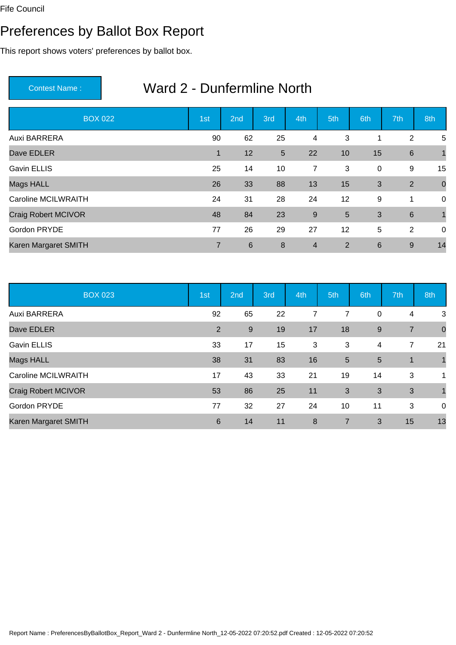# Preferences by Ballot Box Report

This report shows voters' preferences by ballot box.

| <b>BOX 022</b>             | 1st            | 2 <sub>nd</sub> | 3rd            | 4th            | 5th | 6th             | 7th             | 8th            |
|----------------------------|----------------|-----------------|----------------|----------------|-----|-----------------|-----------------|----------------|
| Auxi BARRERA               | 90             | 62              | 25             | 4              | 3   | 1               | 2               | 5              |
| Dave EDLER                 | 1              | 12              | $5\phantom{1}$ | 22             | 10  | 15              | $\,6\,$         |                |
| <b>Gavin ELLIS</b>         | 25             | 14              | 10             | 7              | 3   | $\pmb{0}$       | 9               | 15             |
| Mags HALL                  | 26             | 33              | 88             | 13             | 15  | 3               | 2               | $\overline{0}$ |
| <b>Caroline MCILWRAITH</b> | 24             | 31              | 28             | 24             | 12  | 9               | 1               | $\mathbf 0$    |
| Craig Robert MCIVOR        | 48             | 84              | 23             | $\overline{9}$ | 5   | 3               | $6\phantom{1}6$ |                |
| Gordon PRYDE               | 77             | 26              | 29             | 27             | 12  | 5               | 2               | $\mathbf 0$    |
| Karen Margaret SMITH       | $\overline{7}$ | $6\phantom{1}$  | 8              | $\overline{4}$ | 2   | $6\phantom{1}6$ | 9               | 14             |

| <b>BOX 023</b>             | 1st | 2nd   | 3rd | 4th | 5th            | 6th   | 7th            | 8th            |
|----------------------------|-----|-------|-----|-----|----------------|-------|----------------|----------------|
| Auxi BARRERA               | 92  | 65    | 22  | 7   | 7              | 0     | 4              | 3              |
| Dave EDLER                 | 2   | $9\,$ | 19  | 17  | 18             | $9\,$ | $\overline{7}$ | $\overline{0}$ |
| <b>Gavin ELLIS</b>         | 33  | 17    | 15  | 3   | 3              | 4     | 7              | 21             |
| Mags HALL                  | 38  | 31    | 83  | 16  | 5              | 5     | $\mathbf 1$    |                |
| <b>Caroline MCILWRAITH</b> | 17  | 43    | 33  | 21  | 19             | 14    | 3              | 1              |
| Craig Robert MCIVOR        | 53  | 86    | 25  | 11  | 3              | 3     | 3              |                |
| Gordon PRYDE               | 77  | 32    | 27  | 24  | 10             | 11    | 3              | $\overline{0}$ |
| Karen Margaret SMITH       | 6   | 14    | 11  | 8   | $\overline{7}$ | 3     | 15             | 13             |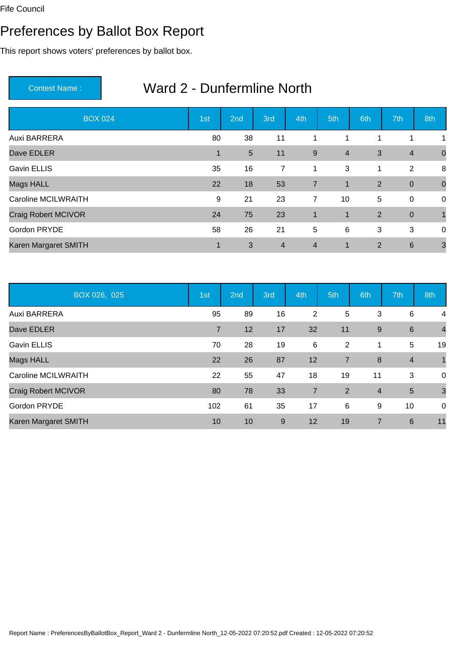#### Preferences by Ballot Box Report

This report shows voters' preferences by ballot box.

| <b>BOX 024</b>             | 1st         | 2 <sub>nd</sub> | 3rd            | 4th            | 5th            | 6th            | 7th              | 8th            |
|----------------------------|-------------|-----------------|----------------|----------------|----------------|----------------|------------------|----------------|
| Auxi BARRERA               | 80          | 38              | 11             | 1              | 1              | 1              | 1                | 1              |
| Dave EDLER                 | $\mathbf 1$ | $5\phantom{1}$  | 11             | 9              | $\overline{4}$ | 3              | $\overline{4}$   | $\overline{0}$ |
| <b>Gavin ELLIS</b>         | 35          | 16              | $\overline{7}$ | 1              | 3              | 1              | 2                | 8              |
| Mags HALL                  | 22          | 18              | 53             | $\overline{7}$ | 1              | 2              | $\boldsymbol{0}$ | $\overline{0}$ |
| <b>Caroline MCILWRAITH</b> | 9           | 21              | 23             | $\overline{7}$ | 10             | 5              | $\mathbf 0$      | $\overline{0}$ |
| Craig Robert MCIVOR        | 24          | 75              | 23             | $\mathbf{1}$   | $\mathbf{1}$   | $\overline{2}$ | $\boldsymbol{0}$ |                |
| Gordon PRYDE               | 58          | 26              | 21             | 5              | 6              | 3              | 3                | $\mathbf 0$    |
| Karen Margaret SMITH       | $\mathbf 1$ | 3               | $\overline{4}$ | $\overline{4}$ | 1              | $\overline{2}$ | $6\phantom{1}6$  | 3              |

| BOX 026, 025               | 1st            | 2nd | 3rd | 4th            | 5th            | 6th            | 7th             | 8th            |
|----------------------------|----------------|-----|-----|----------------|----------------|----------------|-----------------|----------------|
| Auxi BARRERA               | 95             | 89  | 16  | 2              | 5              | 3              | 6               | 4              |
| Dave EDLER                 | $\overline{7}$ | 12  | 17  | 32             | 11             | 9              | $6\phantom{1}6$ | $\overline{4}$ |
| <b>Gavin ELLIS</b>         | 70             | 28  | 19  | $\,6$          | 2              | 1              | 5               | 19             |
| Mags HALL                  | 22             | 26  | 87  | 12             | $\overline{7}$ | 8              | $\overline{4}$  | $\mathbf{1}$   |
| <b>Caroline MCILWRAITH</b> | 22             | 55  | 47  | 18             | 19             | 11             | 3               | $\mathbf 0$    |
| Craig Robert MCIVOR        | 80             | 78  | 33  | $\overline{7}$ | 2              | $\overline{4}$ | 5               | $\mathbf{3}$   |
| Gordon PRYDE               | 102            | 61  | 35  | 17             | 6              | 9              | 10              | $\mathbf 0$    |
| Karen Margaret SMITH       | 10             | 10  | 9   | 12             | 19             | 7              | 6               | 11             |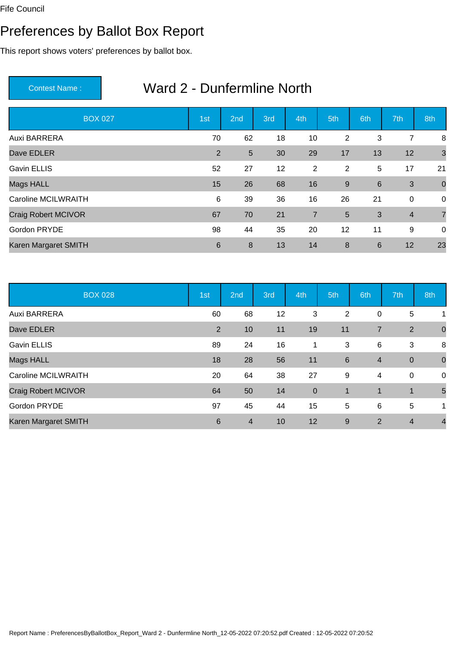#### Preferences by Ballot Box Report

This report shows voters' preferences by ballot box.

| <b>BOX 027</b>             | 1st            | 2 <sub>nd</sub> | 3rd | 4th            | 5th | 6th             | 7th            | 8th            |
|----------------------------|----------------|-----------------|-----|----------------|-----|-----------------|----------------|----------------|
| Auxi BARRERA               | 70             | 62              | 18  | 10             | 2   | 3               | 7              | 8              |
| Dave EDLER                 | 2              | $5\phantom{.0}$ | 30  | 29             | 17  | 13              | 12             | 3              |
| <b>Gavin ELLIS</b>         | 52             | 27              | 12  | 2              | 2   | 5               | 17             | 21             |
| Mags HALL                  | 15             | 26              | 68  | 16             | 9   | 6               | 3              | $\overline{0}$ |
| <b>Caroline MCILWRAITH</b> | 6              | 39              | 36  | 16             | 26  | 21              | $\mathbf 0$    | $\overline{0}$ |
| Craig Robert MCIVOR        | 67             | 70              | 21  | $\overline{7}$ | 5   | 3               | $\overline{4}$ | $\overline{7}$ |
| Gordon PRYDE               | 98             | 44              | 35  | 20             | 12  | 11              | 9              | $\mathbf 0$    |
| Karen Margaret SMITH       | $6\phantom{1}$ | 8               | 13  | 14             | 8   | $6\phantom{1}6$ | 12             | 23             |

| <b>BOX 028</b>             | 1st | 2nd            | 3rd | 4th         | 5th             | 6th            | 7th            | 8th            |
|----------------------------|-----|----------------|-----|-------------|-----------------|----------------|----------------|----------------|
| Auxi BARRERA               | 60  | 68             | 12  | 3           | 2               | 0              | 5              | 1              |
| Dave EDLER                 | 2   | 10             | 11  | 19          | 11              | $\overline{7}$ | 2              | $\overline{0}$ |
| <b>Gavin ELLIS</b>         | 89  | 24             | 16  | 1           | 3               | 6              | 3              | 8              |
| Mags HALL                  | 18  | 28             | 56  | 11          | $6\phantom{1}6$ | $\overline{4}$ | $\mathbf 0$    | $\overline{0}$ |
| <b>Caroline MCILWRAITH</b> | 20  | 64             | 38  | 27          | 9               | 4              | $\mathbf 0$    | $\mathbf 0$    |
| <b>Craig Robert MCIVOR</b> | 64  | 50             | 14  | $\mathbf 0$ |                 | 1              | $\mathbf 1$    | 5              |
| Gordon PRYDE               | 97  | 45             | 44  | 15          | 5               | 6              | 5              | 1              |
| Karen Margaret SMITH       | 6   | $\overline{4}$ | 10  | 12          | 9               | 2              | $\overline{4}$ | $\overline{4}$ |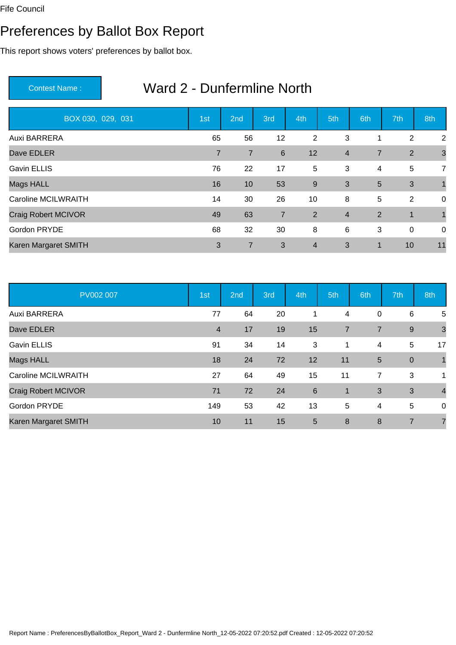#### Preferences by Ballot Box Report

This report shows voters' preferences by ballot box.

| BOX 030, 029, 031          | 1st            | 2nd            | 3rd             | 4th            | 5th            | 6th            | 7th          | 8th            |
|----------------------------|----------------|----------------|-----------------|----------------|----------------|----------------|--------------|----------------|
| Auxi BARRERA               | 65             | 56             | 12              | 2              | 3              | $\mathbf{1}$   | 2            | 2              |
| Dave EDLER                 | $\overline{7}$ | $\overline{7}$ | $6\phantom{1}6$ | 12             | $\overline{4}$ | $\overline{7}$ | 2            | $\mathbf{3}$   |
| <b>Gavin ELLIS</b>         | 76             | 22             | 17              | 5              | 3              | $\overline{4}$ | 5            | $\overline{7}$ |
| Mags HALL                  | 16             | 10             | 53              | 9              | 3              | 5              | 3            |                |
| <b>Caroline MCILWRAITH</b> | 14             | 30             | 26              | 10             | 8              | 5              | 2            | $\mathbf 0$    |
| Craig Robert MCIVOR        | 49             | 63             | $\overline{7}$  | 2              | $\overline{4}$ | $\overline{2}$ | $\mathbf{1}$ |                |
| Gordon PRYDE               | 68             | 32             | 30              | 8              | 6              | 3              | $\mathbf 0$  | $\mathbf 0$    |
| Karen Margaret SMITH       | 3              | 7              | 3               | $\overline{4}$ | 3              | 1              | 10           | 11             |

| PV002 007                  | 1st            | 2nd | 3rd | 4th             | 5th            | 6th            | 7th             | 8th            |
|----------------------------|----------------|-----|-----|-----------------|----------------|----------------|-----------------|----------------|
| Auxi BARRERA               | 77             | 64  | 20  | 1               | 4              | $\mathbf 0$    | 6               | 5              |
| Dave EDLER                 | $\overline{4}$ | 17  | 19  | 15              | $\overline{7}$ | $\overline{7}$ | 9               | $\mathbf{3}$   |
| <b>Gavin ELLIS</b>         | 91             | 34  | 14  | 3               | $\mathbf 1$    | 4              | 5               | 17             |
| <b>Mags HALL</b>           | 18             | 24  | 72  | 12              | 11             | 5              | $\mathbf 0$     | $\overline{1}$ |
| <b>Caroline MCILWRAITH</b> | 27             | 64  | 49  | 15              | 11             | $\overline{7}$ | 3               | 1              |
| Craig Robert MCIVOR        | 71             | 72  | 24  | $6\phantom{1}6$ | $\overline{1}$ | 3              | 3               | $\overline{4}$ |
| Gordon PRYDE               | 149            | 53  | 42  | 13              | 5              | 4              | $5\phantom{.0}$ | 0              |
| Karen Margaret SMITH       | 10             | 11  | 15  | 5               | 8              | 8              | $\overline{7}$  | $\overline{7}$ |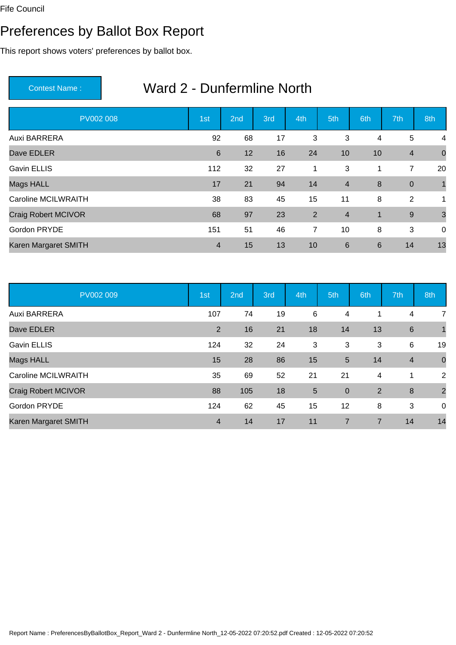#### Preferences by Ballot Box Report

This report shows voters' preferences by ballot box.

| <b>PV002 008</b>           | 1st            | 2 <sub>nd</sub> | 3rd | 4th            | 5th            | 6th | 7th                     | 8th            |
|----------------------------|----------------|-----------------|-----|----------------|----------------|-----|-------------------------|----------------|
| Auxi BARRERA               | 92             | 68              | 17  | 3              | 3              | 4   | 5                       | 4              |
| Dave EDLER                 | 6              | 12              | 16  | 24             | 10             | 10  | $\overline{\mathbf{4}}$ | $\overline{0}$ |
| <b>Gavin ELLIS</b>         | 112            | 32              | 27  | 1              | 3              | 1   | $\overline{7}$          | 20             |
| Mags HALL                  | 17             | 21              | 94  | 14             | $\overline{4}$ | 8   | $\boldsymbol{0}$        |                |
| <b>Caroline MCILWRAITH</b> | 38             | 83              | 45  | 15             | 11             | 8   | 2                       | 1              |
| Craig Robert MCIVOR        | 68             | 97              | 23  | $\overline{2}$ | $\overline{4}$ | 1   | $9\,$                   | $\mathbf{3}$   |
| Gordon PRYDE               | 151            | 51              | 46  | $\overline{7}$ | 10             | 8   | 3                       | $\overline{0}$ |
| Karen Margaret SMITH       | $\overline{4}$ | 15              | 13  | 10             | $6\phantom{1}$ | 6   | 14                      | 13             |

| PV002 009                  | 1st            | 2nd | 3rd | 4th | 5th            | 6th | 7th                     | 8th            |
|----------------------------|----------------|-----|-----|-----|----------------|-----|-------------------------|----------------|
| Auxi BARRERA               | 107            | 74  | 19  | 6   | 4              |     | 4                       | 7              |
| Dave EDLER                 | 2              | 16  | 21  | 18  | 14             | 13  | $6\phantom{1}6$         | $\mathbf{1}$   |
| <b>Gavin ELLIS</b>         | 124            | 32  | 24  | 3   | 3              | 3   | 6                       | 19             |
| Mags HALL                  | 15             | 28  | 86  | 15  | 5              | 14  | $\overline{\mathbf{4}}$ | $\mathbf 0$    |
| <b>Caroline MCILWRAITH</b> | 35             | 69  | 52  | 21  | 21             | 4   | 1                       | 2              |
| Craig Robert MCIVOR        | 88             | 105 | 18  | 5   | $\mathbf{0}$   | 2   | $\boldsymbol{8}$        | $\overline{2}$ |
| Gordon PRYDE               | 124            | 62  | 45  | 15  | 12             | 8   | 3                       | $\mathbf 0$    |
| Karen Margaret SMITH       | $\overline{4}$ | 14  | 17  | 11  | $\overline{7}$ | 7   | 14                      | 14             |